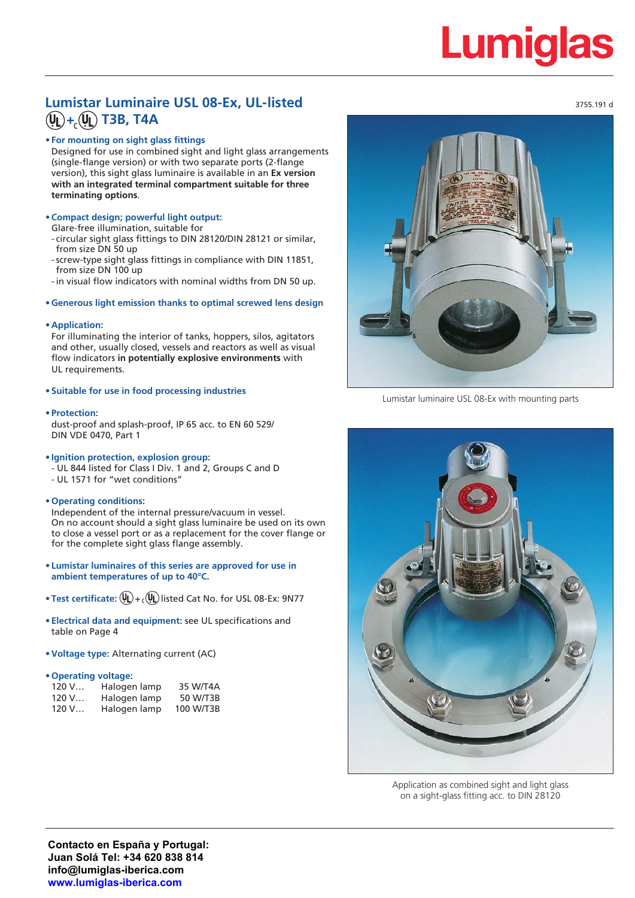# **Lumiglas**

### **Lumistar Luminaire USL 08-Ex, UL-listed** 3755.191 d  $(\overline{\mathbf{V}}_L) + (\overline{\mathbf{V}}_L)$  T3B, T4A

#### **• For mounting on sight glass fittings**

Designed for use in combined sight and light glass arrangements (single-flange version) or with two separate ports (2-flange version), this sight glass luminaire is available in an **Ex version with an integrated terminal compartment suitable for three terminating options**.

#### **• Compact design; powerful light output:**

Glare-free illumination, suitable for

- circular sight glass fittings to DIN 28120/DIN 28121 or similar, from size DN 50 up
- -screw-type sight glass fittings in compliance with DIN 11851, from size DN 100 up
- in visual flow indicators with nominal widths from DN 50 up.

#### **• Generous light emission thanks to optimal screwed lens design**

#### **• Application:**

For illuminating the interior of tanks, hoppers, silos, agitators and other, usually closed, vessels and reactors as well as visual flow indicators **in potentially explosive environments** with UL requirements.

#### **• Suitable for use in food processing industries**

**• Protection:** 

dust-proof and splash-proof, IP 65 acc. to EN 60 529/ DIN VDE 0470, Part 1

#### **• Ignition protection, explosion group:**

- UL 844 listed for Class I Div. 1 and 2, Groups C and D

- UL 1571 for "wet conditions"

#### **• Operating conditions:**

Independent of the internal pressure/vacuum in vessel. On no account should a sight glass luminaire be used on its own to close a vessel port or as a replacement for the cover flange or for the complete sight glass flange assembly.

- **• Lumistar luminaires of this series are approved for use in ambient temperatures of up to 40°C.**
- **•** Test certificate:  $(\Psi_L) + c(\Psi_L)$  listed Cat No. for USL 08-Ex: 9N77
- **• Electrical data and equipment:** see UL specifications and table on Page 4
- **•Voltage type:** Alternating current (AC)

#### **• Operating voltage:**

| 120 V | Halogen lamp | 35 W/T4A  |
|-------|--------------|-----------|
| 120 V | Halogen lamp | 50 W/T3B  |
| 120 V | Halogen lamp | 100 W/T3B |



Lumistar luminaire USL 08-Ex with mounting parts



Application as combined sight and light glass on a sight-glass fitting acc. to DIN 28120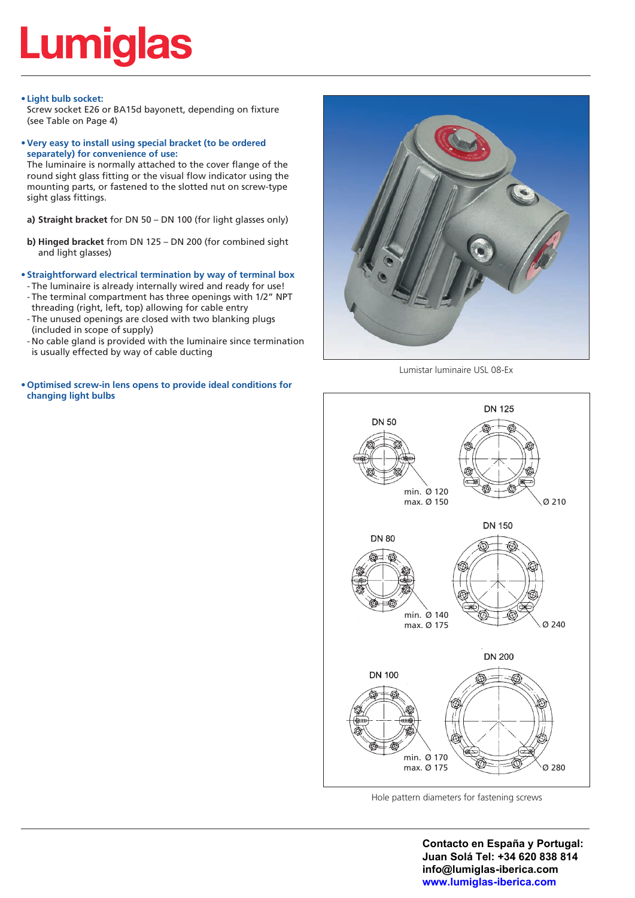# <u>Lumiqlas</u>

#### **• Light bulb socket:**

Screw socket E26 or BA15d bayonett, depending on fixture (see Table on Page 4)

#### **•Very easy to install using special bracket (to be ordered separately) for convenience of use:**

The luminaire is normally attached to the cover flange of the round sight glass fitting or the visual flow indicator using the mounting parts, or fastened to the slotted nut on screw-type sight glass fittings.

**a) Straight bracket** for DN 50 – DN 100 (for light glasses only)

**b) Hinged bracket** from DN 125 – DN 200 (for combined sight and light glasses)

**• Straightforward electrical termination by way of terminal box**

- The luminaire is already internally wired and ready for use! - The terminal compartment has three openings with 1/2" NPT threading (right, left, top) allowing for cable entry

- The unused openings are closed with two blanking plugs (included in scope of supply)

- No cable gland is provided with the luminaire since termination is usually effected by way of cable ducting
- **• Optimised screw-in lens opens to provide ideal conditions for changing light bulbs**



Lumistar luminaire USL 08-Ex



Hole pattern diameters for fastening screws

**Contacto en España y Portugal: Juan Solá Tel: +34 620 838 814 info@lumiglas-iberica.com www.lumiglas-iberica.com**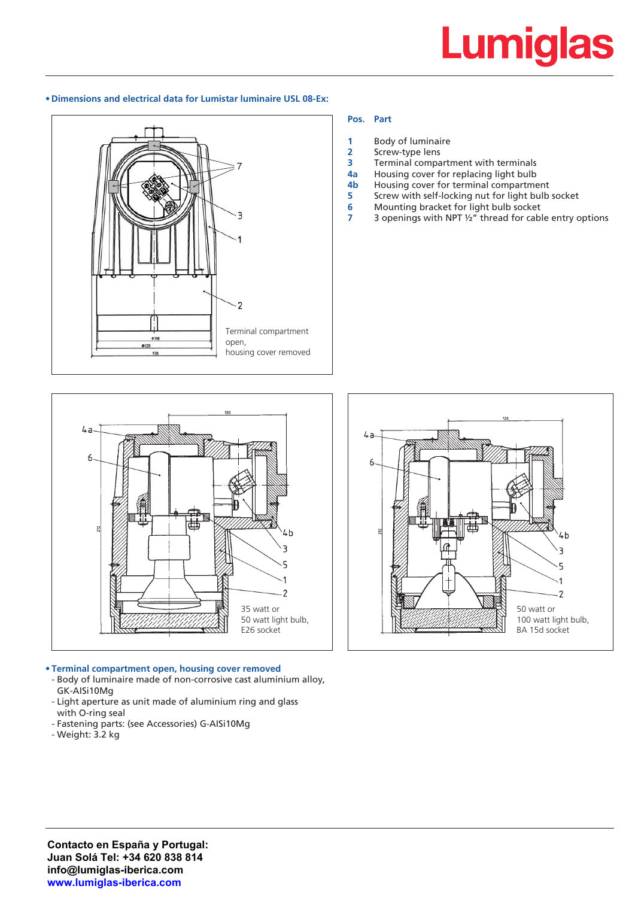# **Lumiglas**

#### **• Dimensions and electrical data for Lumistar luminaire USL 08-Ex:**



#### **Pos. Part**

- **1** Body of luminaire
- **2** Screw-type lens<br>**3** Terminal compa
- **3** Terminal compartment with terminals<br>**4a** Housing cover for replacing light bulb
- **4a** Housing cover for replacing light bulb
- **4b** Housing cover for terminal compartment<br>**5** Screw with self-locking nut for light bulb
- **5** Screw with self-locking nut for light bulb socket
- **6** Mounting bracket for light bulb socket
- **7** 3 openings with NPT ½" thread for cable entry options



#### **• Terminal compartment open, housing cover removed**

- Body of luminaire made of non-corrosive cast aluminium alloy, GK-AISi10Mg
- Light aperture as unit made of aluminium ring and glass with O-ring seal
- Fastening parts: (see Accessories) G-AISi10Mg
- Weight: 3.2 kg